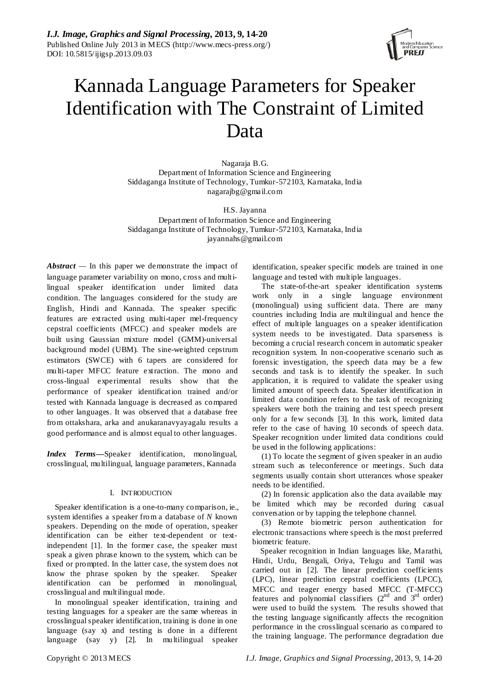

# Kannada Language Parameters for Speaker Identification with The Constraint of Limited Data

Nagaraja B.G. Department of Information Science and Engineering Siddaganga Institute of Technology, Tumkur-572103, Karnataka, India nagarajbg@gmail.com

H.S. Jayanna Department of Information Science and Engineering Siddaganga Institute of Technology, Tumkur-572103, Karnataka, India jayannahs@gmail.com

*Abstract —* In this paper we demonstrate the impact of language parameter variability on mono, cross and multilingual speaker identification under limited data condition. The languages considered for the study are English, Hindi and Kannada. The speaker specific features are extracted using multi-taper mel-frequency cepstral coefficients (MFCC) and speaker models are built using Gaussian mixture model (GMM)-universal background model (UBM). The sine-weighted cepstrum estimators (SWCE) with 6 tapers are considered for multi-taper MFCC feature extraction. The mono and cross-lingual experimental results show that the performance of speaker identification trained and/or tested with Kannada language is decreased as compared to other languages. It was observed that a database free from ottakshara, arka and anukaranavyayagalu results a good performance and is almost equal to other languages.

*Index Terms—*Speaker identification, monolingual, crosslingual, multilingual, language parameters, Kannada

## I. INTRODUCTION

Speaker identification is a one-to-many comparison, ie., system identifies a speaker from a database of *N* known speakers. Depending on the mode of operation, speaker identification can be either text-dependent or textindependent [1]. In the former case, the speaker must speak a given phrase known to the system, which can be fixed or prompted. In the latter case, the system does not know the phrase spoken by the speaker. Speaker identification can be performed in monolingual, crosslingual and multilingual mode.

In monolingual speaker identification, training and testing languages for a speaker are the same whereas in crosslingual speaker identification, training is done in one language (say x) and testing is done in a different language (say y) [2]. In multilingual speaker

identification, speaker specific models are trained in one language and tested with multiple languages.

The state-of-the-art speaker identification systems work only in a single language environment (monolingual) using sufficient data. There are many countries including India are multilingual and hence the effect of multiple languages on a speaker identification system needs to be investigated. Data sparseness is becoming a crucial research concern in automatic speaker recognition system. In non-cooperative scenario such as forensic investigation, the speech data may be a few seconds and task is to identify the speaker. In such application, it is required to validate the speaker using limited amount of speech data. Speaker identification in limited data condition refers to the task of recognizing speakers were both the training and test speech present only for a few seconds [3]. In this work, limited data refer to the case of having 10 seconds of speech data. Speaker recognition under limited data conditions could be used in the following applications:

(1) To locate the segment of given speaker in an audio stream such as teleconference or meetings. Such data segments usually contain short utterances whose speaker needs to be identified.

(2) In forensic application also the data available may be limited which may be recorded during casual conversation or by tapping the telephone channel.

(3) Remote biometric person authentication for electronic transactions where speech is the most preferred biometric feature.

Speaker recognition in Indian languages like, Marathi, Hindi, Urdu, Bengali, Oriya, Telugu and Tamil was carried out in [2]. The linear prediction coefficients (LPC), linear prediction cepstral coefficients (LPCC), MFCC and teager energy based MFCC (T-MFCC) features and polynomial classifiers  $(2<sup>nd</sup>$  and  $3<sup>rd</sup>$  order) were used to build the system. The results showed that the testing language significantly affects the recognition performance in the crosslingual scenario as compared to the training language. The performance degradation due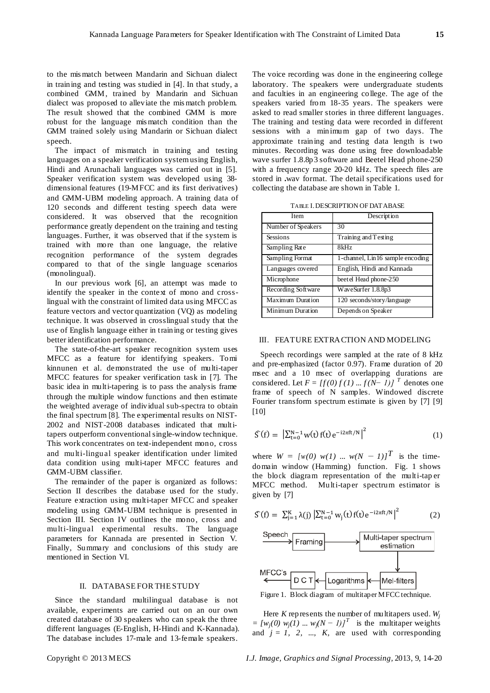to the mis match between Mandarin and Sichuan dialect in training and testing was studied in [4]. In that study, a combined GMM, trained by Mandarin and Sichuan dialect was proposed to alleviate the mis match problem. The result showed that the combined GMM is more robust for the language mis match condition than the GMM trained solely using Mandarin or Sichuan dialect speech.

The impact of mismatch in training and testing languages on a speaker verification systemusing English, Hindi and Arunachali languages was carried out in [5]. Speaker verification system was developed using 38 dimensional features (19-MFCC and its first derivatives) and GMM-UBM modeling approach. A training data of 120 seconds and different testing speech data were considered. It was observed that the recognition performance greatly dependent on the training and testing languages. Further, it was observed that if the system is trained with more than one language, the relative recognition performance of the system degrades compared to that of the single language scenarios (monolingual).

In our previous work [6], an attempt was made to identify the speaker in the context of mono and crosslingual with the constraint of limited data using MFCC as feature vectors and vector quantization (VQ) as modeling technique. It was observed in crosslingual study that the use of English language either in training or testing gives better identification performance.

The state-of-the-art speaker recognition system uses MFCC as a feature for identifying speakers. Tomi kinnunen et al. demonstrated the use of multi-taper MFCC features for speaker verification task in [7]. The basic idea in multi-tapering is to pass the analysis frame through the multiple window functions and then estimate the weighted average of individual sub-spectra to obtain the final spectrum [8]. The experimental results on NIST-2002 and NIST-2008 databases indicated that multitapers outperform conventional single-window technique. This work concentrates on text-independent mono, cross and multi-lingual speaker identification under limited data condition using multi-taper MFCC features and GMM-UBM classifier.

The remainder of the paper is organized as follows: Section II describes the database used for the study. Feature extraction using multi-taper MFCC and speaker modeling using GMM-UBM technique is presented in Section III. Section IV outlines the mono, cross and multi-lingual experimental results. The language parameters for Kannada are presented in Section V. Finally, Summary and conclusions of this study are mentioned in Section VI.

#### II. DATABASE FOR THE STUDY

Since the standard multilingual database is not available, experiments are carried out on an our own created database of 30 speakers who can speak the three different languages (E-English, H-Hindi and K-Kannada). The database includes 17-male and 13-female speakers.

The voice recording was done in the engineering college laboratory. The speakers were undergraduate students and faculties in an engineering college. The age of the speakers varied from 18-35 years. The speakers were asked to read smaller stories in three different languages. The training and testing data were recorded in different sessions with a minimum gap of two days. The approximate training and testing data length is two minutes. Recording was done using free downloadable wave surfer 1.8.8p3 software and Beetel Head phone-250 with a frequency range 20-20 kHz. The speech files are stored in **.**wav format. The detail specifications used for collecting the database are shown in Table 1.

TABLE I.DESCRIPTION OF DATABASE

| Item               | Description                      |  |
|--------------------|----------------------------------|--|
| Number of Speakers | 30                               |  |
| <b>Sessions</b>    | Training and Testing             |  |
| Sampling Rate      | 8kHz                             |  |
| Sampling Format    | 1-channel, Lin16 sample encoding |  |
| Languages covered  | English, Hindi and Kannada       |  |
| Microphone         | beetel Head phone-250            |  |
| Recording Software | WaveSurfer 1.8.8p3               |  |
| Maximum Duration   | 120 seconds/story/language       |  |
| Minimum Duration   | Depends on Speaker               |  |

## III. FEATURE EXTRACTION AND MODELING

Speech recordings were sampled at the rate of 8 kHz and pre-emphasized (factor 0.97). Frame duration of 20 msec and a 10 msec of overlapping durations are considered. Let  $F = [f(0) f(1) ... f(N-1)]^T$  denotes one frame of speech of N samples. Windowed discrete Fourier transform spectrum estimate is given by [7] [9] [10]

$$
\mathcal{S}(f) = |\sum_{t=0}^{N-1} w(t) f(t) e^{-i2\pi ft/N}|^2
$$
 (1)

where  $W = \{w(0) | w(1) \dots w(N-1) \}^T$  is the timedomain window (Hamming) function. Fig. 1 shows the block diagram representation of the multi-tap er MFCC method. Multi-taper spectrum estimator is given by [7]

$$
\mathcal{S}(f) = \sum_{j=1}^{K} \lambda(j) \left| \sum_{t=0}^{N-1} w_j(t) f(t) e^{-i2\pi ft/N} \right|^2 \tag{2}
$$



Figure 1. Block diagram of multitaper MFCC technique.

Here *K* represents the number of multitapers used. *Wj*  $=[w_j(0) w_j(1) ... w_j(N-1)]^T$  is the multitaper weights and  $j = 1, 2, \ldots, K$ , are used with corresponding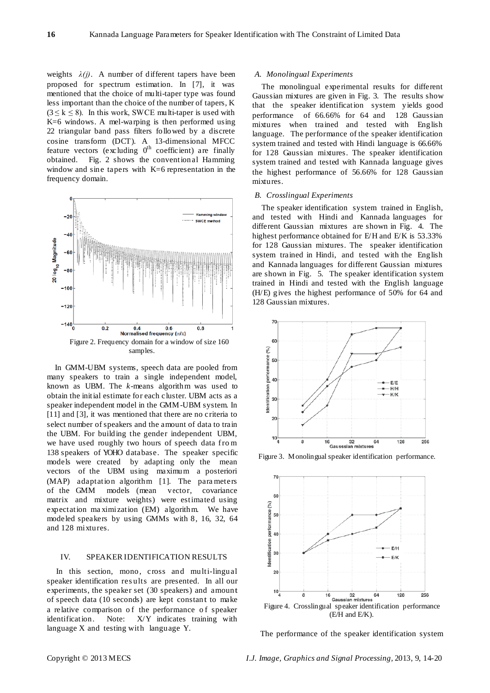weights  $\lambda(j)$ . A number of different tapers have been proposed for spectrum estimation. In [7], it was mentioned that the choice of multi-taper type was found less important than the choice of the number of tapers, K  $(3 \le k \le 8)$ . In this work, SWCE multi-taper is used with K=6 windows. A mel-warping is then performed using 22 triangular band pass filters followed by a discrete cosine transform (DCT). A 13-dimensional MFCC feature vectors (excluding  $0^{th}$  coefficient) are finally obtained. Fig. 2 shows the conventional Hamming window and sine tapers with K=6 representation in the frequency domain.



In GMM-UBM systems, speech data are pooled from many speakers to train a single independent model, known as UBM. The *k*-means algorithm was used to obtain the initial estimate for each cluster. UBM acts as a speaker independent model in the GMM-UBM system. In [11] and [3], it was mentioned that there are no criteria to select number of speakers and the amount of data to train the UBM. For building the gender independent UBM, we have used roughly two hours of speech data fro m 138 speakers of YOHO database. The speaker specific models were created by adapting only the mean vectors of the UBM using maximum a posteriori (MAP) adaptation algorithm [1]. The para meters of the GMM models (mean vector, covariance matrix and mixture weights) were estimated using expectation ma ximization (EM) algorithm. We have modeled speakers by using GMMs with 8, 16, 32, 64 and 128 mixtures.

# IV. SPEAKER IDENTIFICATION RESULTS

In this section, mono, cross and multi-lingual speaker identification results are presented. In all our experiments, the speaker set (30 speakers) and amount of speech data (10 seconds) are kept constant to make a relative comparison of the performance of speaker identification. Note: X/Y indicates training with language X and testing with language Y.

#### *A. Monolingual Experiments*

The monolingual experimental results for different Gaussian mixtures are given in Fig. 3. The results show that the speaker identification system yields good performance of 66.66% for 64 and 128 Gaussian mixtures when trained and tested with English language. The performance of the speaker identification system trained and tested with Hindi language is 66.66% for 128 Gaussian mixtures. The speaker identification system trained and tested with Kannada language gives the highest performance of 56.66% for 128 Gaussian mixtures.

#### *B. Crosslingual Experiments*

The speaker identification system trained in English, and tested with Hindi and Kannada languages for different Gaussian mixtures are shown in Fig. 4. The highest performance obtained for E/H and E/K is 53.33% for 128 Gaussian mixtures. The speaker identification system trained in Hindi, and tested with the English and Kannada languages for different Gaussian mixtures are shown in Fig. 5. The speaker identification system trained in Hindi and tested with the English language (H/E) gives the highest performance of 50% for 64 and 128 Gaussian mixtures.



Figure 3. Monolingual speaker identification performance.



The performance of the speaker identification system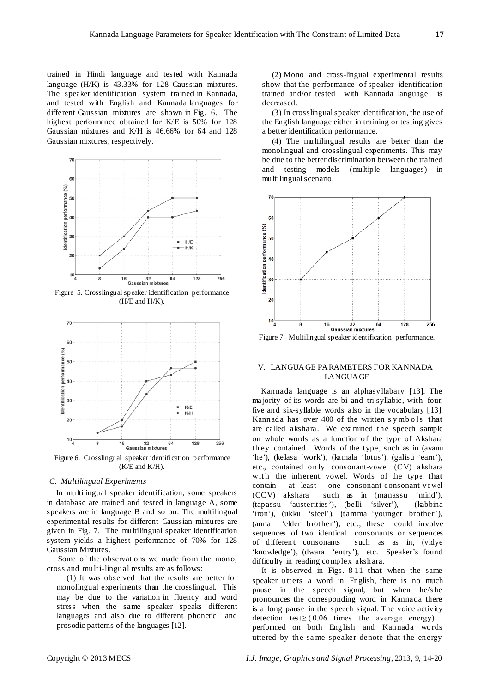trained in Hindi language and tested with Kannada language (H/K) is 43.33% for 128 Gaussian mixtures. The speaker identification system trained in Kannada, and tested with English and Kannada languages for different Gaussian mixtures are shown in Fig. 6. The highest performance obtained for K/E is 50% for 128 Gaussian mixtures and K/H is 46.66% for 64 and 128 Gaussian mixtures, respectively.



Figure 5. Crosslingual speaker identification performance (H/E and H/K).



Figure 6. Crosslingual speaker identification performance (K/E and K/H).

## *C. Multilingual Experiments*

In multilingual speaker identification, some speakers in database are trained and tested in language A, some speakers are in language B and so on. The multilingual experimental results for different Gaussian mixtures are given in Fig. 7. The multilingual speaker identification system yields a highest performance of 70% for 128 Gaussian Mixtures.

Some of the observations we made from the mono, cross and multi-lingual results are as follows:

(1) It was observed that the results are better for monolingual experiments than the crosslingual. This may be due to the variation in fluency and word stress when the same speaker speaks different languages and also due to different phonetic and prosodic patterns of the languages [12].

(2) Mono and cross-lingual experimental results show that the performance of speaker identification trained and/or tested with Kannada language is decreased.

(3) In crosslingualspeaker identification, the use of the English language either in training or testing gives a better identification performance.

(4) The multilingual results are better than the monolingual and crosslingual experiments. This may be due to the better discrimination between the trained and testing models (multiple languages) in multilingual scenario.



Figure 7. Multilingual speaker identification performance.

## V. LANGUAGE PARAMETERS FOR KANNADA LANGUAGE

Kannada language is an alphasyllabary [13]. The ma jority of its words are bi and tri-syllabic, with four, five and six-syllable words also in the vocabulary [ 13]. Kannada has over 400 of the written s ymbols that are called akshara. We examined the speech sample on whole words as a function of the type of Akshara they contained. Words of the type, such as in (avanu 'he'), (kelasa 'work'), (kamala 'lotus'), (galisu 'earn'), etc., contained on ly consonant-vowel (CV) akshara with the inherent vowel. Words of the type that contain at least one consonant-consonant-vo wel (CCV) akshara such as in (manassu 'mind'), (tapassu 'austerities '), (belli 'silver'), (kabbina 'iron'), (ukku 'steel'), (tamma 'younger brother'), (anna 'elder brother'), etc., these could involve sequences of two identical consonants or sequences of different consonants such as as in, (vidye 'knowledge'), (dwara 'entry'), etc. Speaker's found difficulty in reading complex akshara.

It is observed in Figs. 8-11 that when the same speaker utters a word in English, there is no much pause in the speech signal, but when he/s he pronounces the corresponding word in Kannada there is a long pause in the speech signal. The voice activity detection test $\geq$  (0.06 times the average energy) performed on both English and Kannada words uttered by the sa me speaker denote that the energy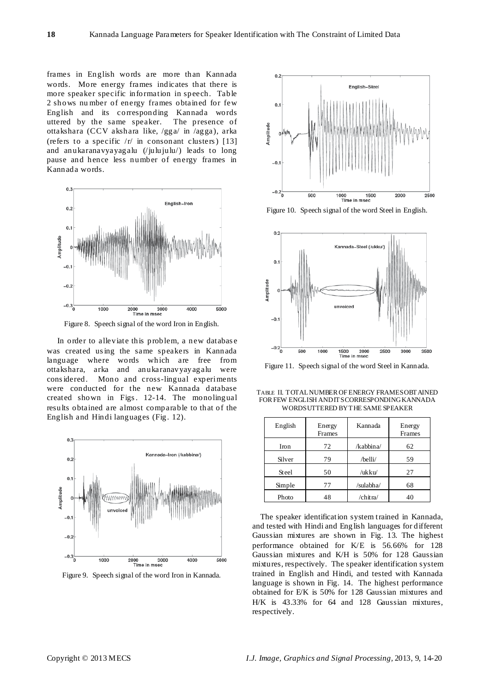frames in English words are more than Kannada words. More energy frames indicates that there is more speaker specific information in speech. Table 2 shows nu mber of energy frames obtained for few English and its corresponding Kannada words uttered by the same speaker. The presence of ottakshara (CCV akshara like, /gga/ in /agga), arka (refers to a specific  $/r/$  in consonant clusters) [13] and anukaranavyayagalu (/julujulu/) leads to long pause and hence less number of energy frames in Kannada words.



Figure 8. Speech signal of the word Iron in English.

In order to alleviate this problem, a new databas e was created us ing the same speakers in Kannada language where words which are free from ottakshara, arka and anukaranavyayagalu were cons idered. Mono and cross-lingual experiments were conducted for the new Kannada database created shown in Figs. 12-14. The monolingual results obtained are almost comparable to that of the English and Hindi languages (Fig. 12).



Figure 9. Speech signal of the word Iron in Kannada.



Figure 10. Speech signal of the word Steel in English.



Figure 11. Speech signal of the word Steel in Kannada.

TABLE II. TOTALNUMBER OF ENERGY FRAMESOBTAINED FOR FEW ENGLISH AND IT SCORRESPONDING KANNADA WORDSUTTERED BYTHE SAME SPEAKER

| English | Energy<br>Frames | Kannada   | Energy<br>Frames |
|---------|------------------|-----------|------------------|
| Iron    | 72               | /kabbina/ | 62               |
| Silver  | 79               | /belli/   | 59               |
| Steel   | 50               | /ukku/    | 27               |
| Simple  | 77               | /sulabha/ | 68               |
| Photo   | 48               | /chitra/  | 40               |

The speaker identification system trained in Kannada, and tested with Hindi and English languages for different Gaussian mixtures are shown in Fig. 13. The highest performance obtained for K/E is 56.66% for 128 Gaussian mixtures and K/H is 50% for 128 Gaussian mixtures, respectively. The speaker identification system trained in English and Hindi, and tested with Kannada language is shown in Fig. 14. The highest performance obtained for E/K is 50% for 128 Gaussian mixtures and H/K is 43.33% for 64 and 128 Gaussian mixtures, respectively.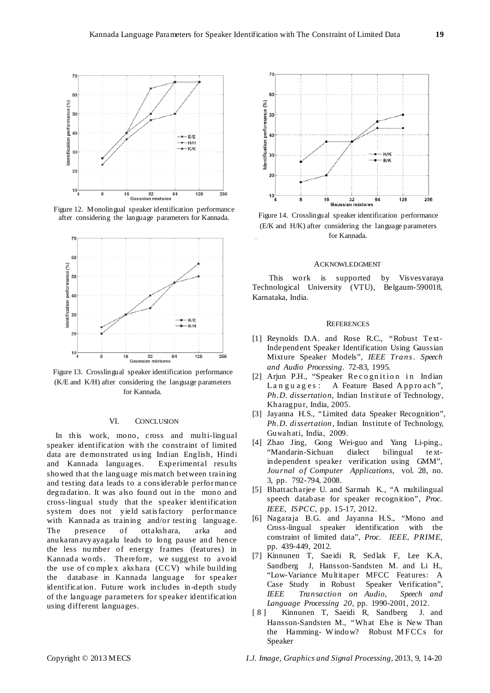

Figure 12. Monolingual speaker identification performance after considering the language parameters for Kannada.



Figure 13. Crosslingual speaker identification performance (K/E and K/H) after considering the language parameters for Kannada.

## VI. CONCLUSION

In this work, mono, cross and multi-lingual speaker identification with the constraint of limited data are demonstrated us ing Indian English, Hindi and Kannada languages. Experimental results showed that the language mis match between training and testing data leads to a cons iderable perfor mance degradation. It was also found out in the mono and cross-lingual study that the speaker identification system does not yield satis factory perfor mance with Kannada as training and/or testing language. The presence of ottakshara, arka and anukaranavyayagalu leads to long pause and hence the less nu mber of energy frames (features) in Kannada words. Therefore, we suggest to avoid the use of co mple x aks hara (CCV) while building the database in Kannada language for speaker identification. Future work includes in-depth study of the language parameters for speaker identification using different languages.



Figure 14. Crosslingual speaker identification performance (E/K and H/K) after considering the language parameters for Kannada.

## ACKNOWLEDGMENT

This work is supported by Visvesvaraya Technological University (VTU), Belgaum-590018, Karnataka, India.

## **REFERENCES**

- [1] Reynolds D.A. and Rose R.C., "Robust Text-Independent Speaker Identification Using Gaussian Mixture Speaker Models", *IEEE Trans. Speech and Audio Processing*. 72-83, 1995.
- [2] Arjun P.H., "Speaker Recognition in Indian Languages: A Feature Based Approach", *Ph.D. dissertation*, Indian Institute of Technology, Kharagpur, India, 2005.
- [3] Jayanna H.S., "Limited data Speaker Recognition", *Ph.D. dissertation*, Indian Institute of Technology, Guwahati, India, 2009.
- [4] Zhao Jing, Gong Wei-guo and Yang Li-ping., "Mandarin-Sichuan dialect bilingual te xtindependent speaker verification using GMM", *Journal of Computer Applications*, vol. 28, no. 3, pp. 792-794, 2008.
- [5] Bhattacharjee U. and Sarmah K., "A multilingual speech database for speaker recognition", *Proc. IEEE, ISPCC*, pp. 15-17, 2012.
- [6] Nagaraja B.G. and Jayanna H.S., "Mono and Cross-lingual speaker identification with the constraint of limited data", *Proc. IEEE, PRIME*, pp. 439-449, 2012.
- [7] Kinnunen T, Saeidi R, Sedlak F, Lee K.A, Sandberg J, Hansson-Sandsten M. and Li H., "Low-Variance Multitaper MFCC Features: A Case Study in Robust Speaker Verification", *IEEE Transaction on Audio, Speech and Language Processing 20*, pp. 1990-2001, 2012.
- [8] Kinnunen T, Saeidi R, Sandberg J. and Hansson-Sandsten M., "What Else is New Than the Hamming- W indow? Robust MFCCs for Speaker